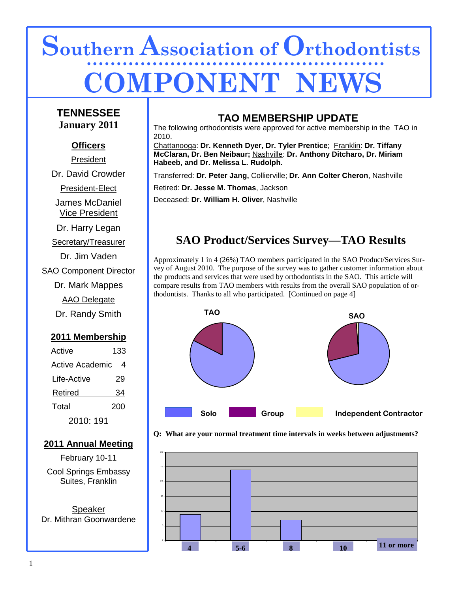# **Southern Association of Orthodontists COMPONENT NE**

### **TENNESSEE January 2011**

### **Officers**

President

Dr. David Crowder

President-Elect

James McDaniel Vice President

Dr. Harry Legan

Secretary/Treasurer

Dr. Jim Vaden SAO Component Director Dr. Mark Mappes

AAO Delegate Dr. Randy Smith

### **2011 Membership**

| Active          | 133 |
|-----------------|-----|
| Active Academic | 4   |
| Life-Active     | 29  |
| Retired         | 34  |
| Total           | 200 |
| 2010: 191       |     |

### **2011 Annual Meeting**

February 10-11 Cool Springs Embassy Suites, Franklin

Speaker Dr. Mithran Goonwardene

### **TAO MEMBERSHIP UPDATE**

The following orthodontists were approved for active membership in the TAO in 2010.

Chattanooga: **Dr. Kenneth Dyer, Dr. Tyler Prentice**; Franklin: **Dr. Tiffany McClaran, Dr. Ben Neibaur;** Nashville: **Dr. Anthony Ditcharo, Dr. Miriam Habeeb, and Dr. Melissa L. Rudolph.** 

Transferred: **Dr. Peter Jang,** Collierville; **Dr. Ann Colter Cheron**, Nashville

Retired: **Dr. Jesse M. Thomas**, Jackson

Deceased: **Dr. William H. Oliver**, Nashville

### **SAO Product/Services Survey—TAO Results**

Approximately 1 in 4 (26%) TAO members participated in the SAO Product/Services Survey of August 2010. The purpose of the survey was to gather customer information about the products and services that were used by orthodontists in the SAO. This article will compare results from TAO members with results from the overall SAO population of orthodontists. Thanks to all who participated. [Continued on page 4]





 **Q: What are your normal treatment time intervals in weeks between adjustments?**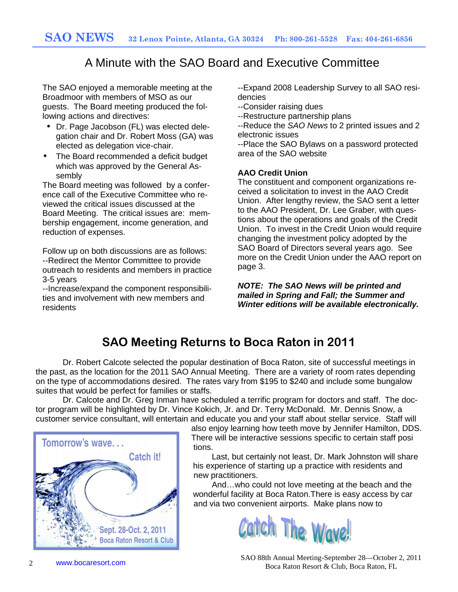### A Minute with the SAO Board and Executive Committee

The SAO enjoyed a memorable meeting at the Broadmoor with members of MSO as our guests. The Board meeting produced the following actions and directives:

- Dr. Page Jacobson (FL) was elected delegation chair and Dr. Robert Moss (GA) was elected as delegation vice-chair.
- The Board recommended a deficit budget which was approved by the General Assembly

The Board meeting was followed by a conference call of the Executive Committee who reviewed the critical issues discussed at the Board Meeting. The critical issues are: membership engagement, income generation, and reduction of expenses.

Follow up on both discussions are as follows: --Redirect the Mentor Committee to provide outreach to residents and members in practice 3-5 years

--Increase/expand the component responsibilities and involvement with new members and residents

--Expand 2008 Leadership Survey to all SAO residencies

- --Consider raising dues
- --Restructure partnership plans

--Reduce the SAO News to 2 printed issues and 2 electronic issues

--Place the SAO Bylaws on a password protected area of the SAO website

### **AAO Credit Union**

The constituent and component organizations received a solicitation to invest in the AAO Credit Union. After lengthy review, the SAO sent a letter to the AAO President, Dr. Lee Graber, with questions about the operations and goals of the Credit Union. To invest in the Credit Union would require changing the investment policy adopted by the SAO Board of Directors several years ago. See more on the Credit Union under the AAO report on page 3.

**NOTE: The SAO News will be printed and mailed in Spring and Fall; the Summer and Winter editions will be available electronically.** 

## **SAO Meeting Returns to Boca Raton in 2011**

 Dr. Robert Calcote selected the popular destination of Boca Raton, site of successful meetings in the past, as the location for the 2011 SAO Annual Meeting. There are a variety of room rates depending on the type of accommodations desired. The rates vary from \$195 to \$240 and include some bungalow suites that would be perfect for families or staffs.

 Dr. Calcote and Dr. Greg Inman have scheduled a terrific program for doctors and staff. The doctor program will be highlighted by Dr. Vince Kokich, Jr. and Dr. Terry McDonald. Mr. Dennis Snow, a customer service consultant, will entertain and educate you and your staff about stellar service. Staff will



 also enjoy learning how teeth move by Jennifer Hamilton, DDS. There will be interactive sessions specific to certain staff posi tions.

Catch it! Last, but certainly not least, Dr. Mark Johnston will share his experience of starting up a practice with residents and new practitioners.

 And…who could not love meeting at the beach and the wonderful facility at Boca Raton.There is easy access by car and via two convenient airports. Make plans now to



www.bocaresort.com SAO 88th Annual Meeting-September 28—October 2, 2011 Boca Raton Resort & Club, Boca Raton, FL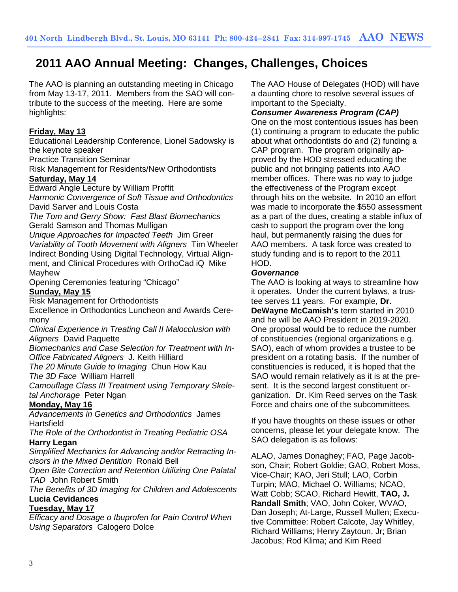### **2011 AAO Annual Meeting: Changes, Challenges, Choices**

The AAO is planning an outstanding meeting in Chicago from May 13-17, 2011. Members from the SAO will contribute to the success of the meeting. Here are some highlights:

### **Friday, May 13**

Educational Leadership Conference, Lionel Sadowsky is the keynote speaker

Practice Transition Seminar

Risk Management for Residents/New Orthodontists

#### **Saturday, May 14**

Edward Angle Lecture by William Proffit

Harmonic Convergence of Soft Tissue and Orthodontics David Sarver and Louis Costa

The Tom and Gerry Show: Fast Blast Biomechanics Gerald Samson and Thomas Mulligan

Unique Approaches for Impacted Teeth Jim Greer Variability of Tooth Movement with Aligners Tim Wheeler Indirect Bonding Using Digital Technology, Virtual Alignment, and Clinical Procedures with OrthoCad iQ Mike Mayhew

Opening Ceremonies featuring "Chicago"

### **Sunday, May 15**

Risk Management for Orthodontists

Excellence in Orthodontics Luncheon and Awards Ceremony

Clinical Experience in Treating Call II Malocclusion with **Aligners** David Paquette

Biomechanics and Case Selection for Treatment with In-Office Fabricated Aligners J. Keith Hilliard

The 20 Minute Guide to Imaging Chun How Kau

The 3D Face William Harrell

Camouflage Class III Treatment using Temporary Skeletal Anchorage Peter Ngan

### **Monday, May 16**

Advancements in Genetics and Orthodontics James Hartsfield

The Role of the Orthodontist in Treating Pediatric OSA **Harry Legan**

Simplified Mechanics for Advancing and/or Retracting Incisors in the Mixed Dentition Ronald Bell

Open Bite Correction and Retention Utilizing One Palatal TAD John Robert Smith

The Benefits of 3D Imaging for Children and Adolescents **Lucia Cevidances**

#### **Tuesday, May 17**

Efficacy and Dosage o Ibuprofen for Pain Control When Using Separators Calogero Dolce

The AAO House of Delegates (HOD) will have a daunting chore to resolve several issues of important to the Specialty.

### **Consumer Awareness Program (CAP)**

One on the most contentious issues has been (1) continuing a program to educate the public about what orthodontists do and (2) funding a CAP program. The program originally approved by the HOD stressed educating the public and not bringing patients into AAO member offices. There was no way to judge the effectiveness of the Program except through hits on the website. In 2010 an effort was made to incorporate the \$550 assessment as a part of the dues, creating a stable influx of cash to support the program over the long haul, but permanently raising the dues for AAO members. A task force was created to study funding and is to report to the 2011 HOD.

#### **Governance**

The AAO is looking at ways to streamline how it operates. Under the current bylaws, a trustee serves 11 years. For example, **Dr. DeWayne McCamish's** term started in 2010 and he will be AAO President in 2019-2020. One proposal would be to reduce the number of constituencies (regional organizations e.g. SAO), each of whom provides a trustee to be president on a rotating basis. If the number of constituencies is reduced, it is hoped that the SAO would remain relatively as it is at the present. It is the second largest constituent organization. Dr. Kim Reed serves on the Task Force and chairs one of the subcommittees.

If you have thoughts on these issues or other concerns, please let your delegate know. The SAO delegation is as follows:

ALAO, James Donaghey; FAO, Page Jacobson, Chair; Robert Goldie; GAO, Robert Moss, Vice-Chair; KAO, Jeri Stull; LAO, Corbin Turpin; MAO, Michael O. Williams; NCAO, Watt Cobb; SCAO, Richard Hewitt, **TAO, J. Randall Smith**; VAO, John Coker, WVAO, Dan Joseph; At-Large, Russell Mullen; Executive Committee: Robert Calcote, Jay Whitley, Richard Williams; Henry Zaytoun, Jr; Brian Jacobus; Rod Klima; and Kim Reed